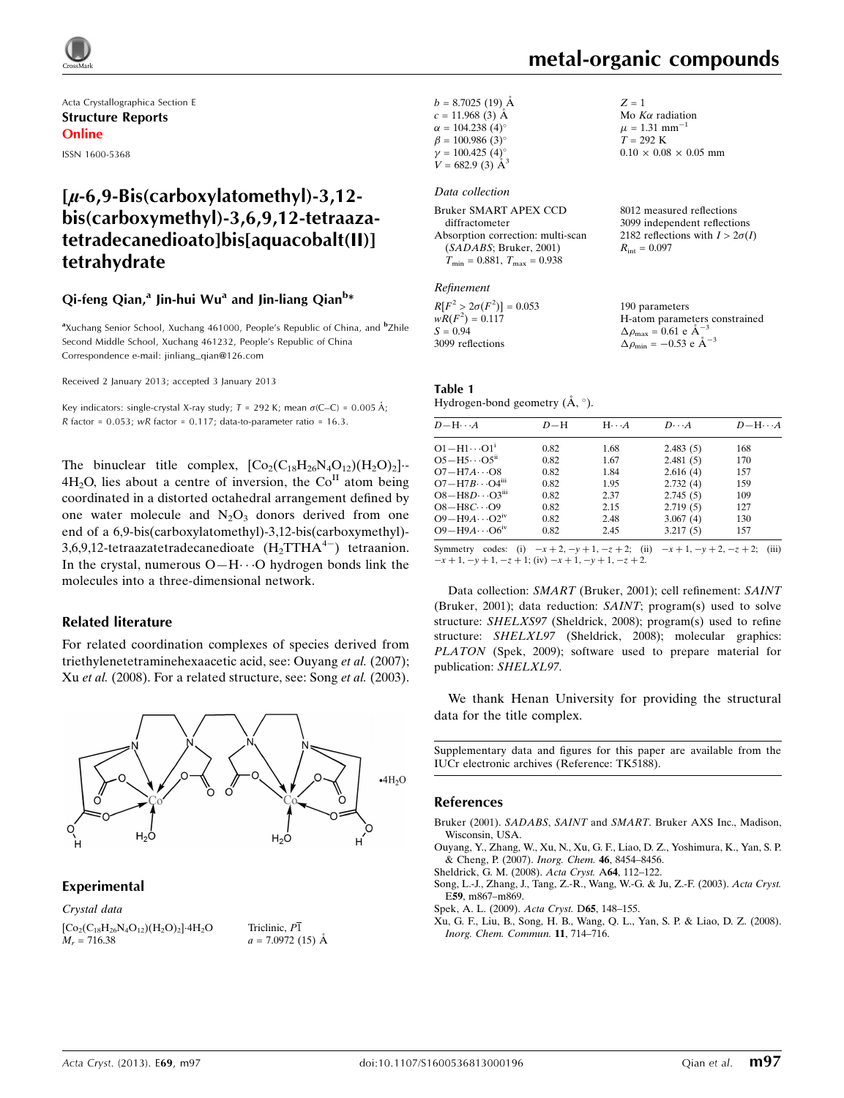

Acta Crystallographica Section E Structure Reports Online ISSN 1600-5368

### $\mu$ -6,9-Bis(carboxylatomethyl)-3,12bis(carboxymethyl)-3,6,9,12-tetraazatetradecanedioato]bis[aquacobalt(II)] tetrahydrate

#### Qi-feng Qian,<sup>a</sup> Jin-hui Wu<sup>a</sup> and Jin-liang Qian<sup>b</sup>\*

<sup>a</sup>Xuchang Senior School, Xuchang 461000, People's Republic of China, and <sup>b</sup>Zhile Second Middle School, Xuchang 461232, People's Republic of China Correspondence e-mail: [jinliang\\_qian@126.com](https://scripts.iucr.org/cgi-bin/cr.cgi?rm=pdfbb&cnor=tk5188&bbid=BB6)

Received 2 January 2013; accepted 3 January 2013

Key indicators: single-crystal X-ray study;  $T = 292$  K; mean  $\sigma$ (C–C) = 0.005 Å; R factor =  $0.053$ ; wR factor =  $0.117$ ; data-to-parameter ratio =  $16.3$ .

The binuclear title complex,  $[Co_2(C_{18}H_{26}N_4O_{12})(H_2O)_2]$ .  $4H<sub>2</sub>O$ , lies about a centre of inversion, the  $Co<sup>H</sup>$  atom being coordinated in a distorted octahedral arrangement defined by one water molecule and  $N_2O_3$  donors derived from one end of a 6,9-bis(carboxylatomethyl)-3,12-bis(carboxymethyl)- 3,6,9,12-tetraazatetradecanedioate  $(H_2TTHA^{4-})$  tetraanion. In the crystal, numerous  $O-H \cdots O$  hydrogen bonds link the molecules into a three-dimensional network.

#### Related literature

For related coordination complexes of species derived from triethylenetetraminehexaacetic acid, see: Ouyang et al. (2007); Xu et al. (2008). For a related structure, see: Song et al. (2003).



#### Experimental

Crystal data  $[Co_2(C_{18}H_{26}N_4O_{12})(H_2O)_2]\cdot4H_2O$  $M_r = 716.38$ 

Triclinic,  $P\overline{1}$  $a = 7.0972(15)$  Å Mo  $K\alpha$  radiation  $\mu = 1.31$  mm<sup>-1</sup>  $T = 292 \text{ K}$ 

 $0.10 \times 0.08 \times 0.05$  mm

 $Z = 1$ 

| $b = 8.7025(19)$ Å      |  |
|-------------------------|--|
| $c = 11.968(3)$ Å       |  |
| $\alpha = 104.238(4)$ ° |  |
| $\beta = 100.986(3)$ °  |  |
| $\gamma = 100.425(4)$ ° |  |
| $V = 682.9$ (3) $\AA^3$ |  |

#### Data collection

| <b>Bruker SMART APEX CCD</b>                     | 8012 measured reflections              |
|--------------------------------------------------|----------------------------------------|
| diffractometer                                   | 3099 independent reflections           |
| Absorption correction: multi-scan                | 2182 reflections with $I > 2\sigma(I)$ |
| (SADABS; Bruker, 2001)                           | $R_{\rm int} = 0.097$                  |
| $T_{\text{min}} = 0.881, T_{\text{max}} = 0.938$ |                                        |
|                                                  |                                        |

#### Refinement

 $R[F^2 > 2\sigma(F^2)] = 0.053$ <br>  $wR(F^2) = 0.117$  $S = 0.94$ 3099 reflections 190 parameters H-atom parameters constrained  $\Delta \rho_{\text{max}} = 0.61 \text{ e A}^{-3}$  $\Delta \rho_{\text{min}} = -0.53$  e  $\AA^{-3}$ 

#### Table 1

Hydrogen-bond geometry  $(\AA, \degree)$ .

| $D$ -H $\cdots$ A                   | $D-H$ | $H\cdots A$ | $D\cdots A$ | $D - H \cdots A$ |
|-------------------------------------|-------|-------------|-------------|------------------|
| $O1 - H1 \cdots O1$                 | 0.82  | 1.68        | 2.483(5)    | 168              |
| $O5 - H5 \cdots O5^{n}$             | 0.82  | 1.67        | 2.481(5)    | 170              |
| $O7 - H7A \cdots O8$                | 0.82  | 1.84        | 2.616(4)    | 157              |
| $O7 - H7B \cdots O4m$               | 0.82  | 1.95        | 2.732(4)    | 159              |
| $O8 - H8D \cdots O3$ <sup>iii</sup> | 0.82  | 2.37        | 2.745(5)    | 109              |
| $O8 - H8C \cdots O9$                | 0.82  | 2.15        | 2.719(5)    | 127              |
| $O9 - H9A \cdots O2$ <sup>iv</sup>  | 0.82  | 2.48        | 3.067(4)    | 130              |
| $O9 - H9A \cdots O6^{iv}$           | 0.82  | 2.45        | 3.217(5)    | 157              |

Symmetry codes: (i)  $-x + 2$ ,  $-y + 1$ ,  $-z + 2$ ; (ii)  $-x + 1$ ,  $-y + 2$ ,  $-z + 2$ ; (iii)  $-x + 1, -y + 1, -z + 1$ ; (iv)  $-x + 1, -y + 1, -z + 2$ .

Data collection: SMART (Bruker, 2001); cell refinement: SAINT (Bruker, 2001); data reduction: SAINT; program(s) used to solve structure: SHELXS97 (Sheldrick, 2008); program(s) used to refine structure: SHELXL97 (Sheldrick, 2008); molecular graphics: PLATON (Spek, 2009); software used to prepare material for publication: SHELXL97.

We thank Henan University for providing the structural data for the title complex.

Supplementary data and figures for this paper are available from the IUCr electronic archives (Reference: TK5188).

#### References

Bruker (2001). SADABS, SAINT and SMART[. Bruker AXS Inc., Madison,](https://scripts.iucr.org/cgi-bin/cr.cgi?rm=pdfbb&cnor=tk5188&bbid=BB1) [Wisconsin, USA.](https://scripts.iucr.org/cgi-bin/cr.cgi?rm=pdfbb&cnor=tk5188&bbid=BB1)

[Ouyang, Y., Zhang, W., Xu, N., Xu, G. F., Liao, D. Z., Yoshimura, K., Yan, S. P.](https://scripts.iucr.org/cgi-bin/cr.cgi?rm=pdfbb&cnor=tk5188&bbid=BB2) [& Cheng, P. \(2007\).](https://scripts.iucr.org/cgi-bin/cr.cgi?rm=pdfbb&cnor=tk5188&bbid=BB2) Inorg. Chem. 46, 8454–8456.

[Sheldrick, G. M. \(2008\).](https://scripts.iucr.org/cgi-bin/cr.cgi?rm=pdfbb&cnor=tk5188&bbid=BB3) Acta Cryst. A64, 112–122.

[Song, L.-J., Zhang, J., Tang, Z.-R., Wang, W.-G. & Ju, Z.-F. \(2003\).](https://scripts.iucr.org/cgi-bin/cr.cgi?rm=pdfbb&cnor=tk5188&bbid=BB4) Acta Cryst. E59[, m867–m869.](https://scripts.iucr.org/cgi-bin/cr.cgi?rm=pdfbb&cnor=tk5188&bbid=BB4)

[Spek, A. L. \(2009\).](https://scripts.iucr.org/cgi-bin/cr.cgi?rm=pdfbb&cnor=tk5188&bbid=BB5) Acta Cryst. D65, 148–155.

[Xu, G. F., Liu, B., Song, H. B., Wang, Q. L., Yan, S. P. & Liao, D. Z. \(2008\).](https://scripts.iucr.org/cgi-bin/cr.cgi?rm=pdfbb&cnor=tk5188&bbid=BB6) [Inorg. Chem. Commun.](https://scripts.iucr.org/cgi-bin/cr.cgi?rm=pdfbb&cnor=tk5188&bbid=BB6) 11, 714–716.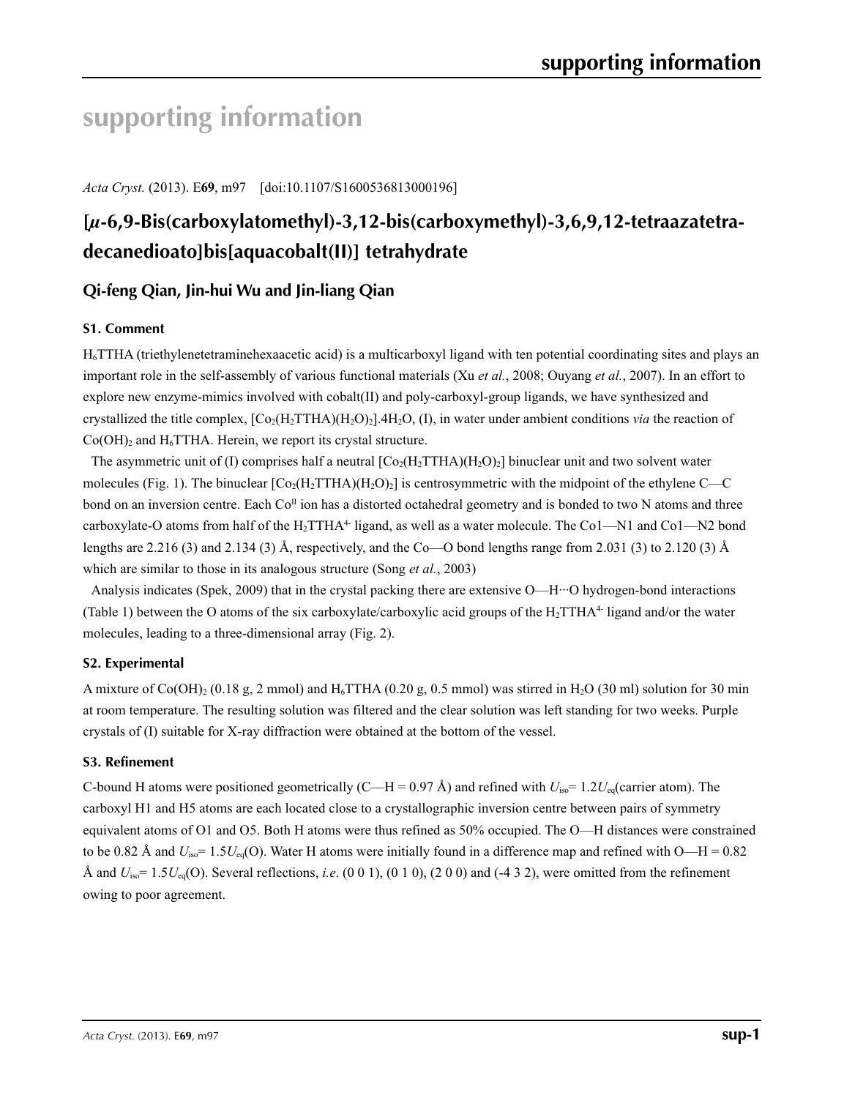## **supporting information**

*Acta Cryst.* (2013). E**69**, m97 [doi:10.1107/S1600536813000196]

## **[***µ***-6,9-Bis(carboxylatomethyl)-3,12-bis(carboxymethyl)-3,6,9,12-tetraazatetradecanedioato]bis[aquacobalt(II)] tetrahydrate**

### **Qi-feng Qian, Jin-hui Wu and Jin-liang Qian**

#### **S1. Comment**

H6TTHA (triethylenetetraminehexaacetic acid) is a multicarboxyl ligand with ten potential coordinating sites and plays an important role in the self-assembly of various functional materials (Xu *et al.*, 2008; Ouyang *et al.*, 2007). In an effort to explore new enzyme-mimics involved with cobalt(II) and poly-carboxyl-group ligands, we have synthesized and crystallized the title complex,  $[C_2(H_2THA)(H_2O)_2]$ .4H<sub>2</sub>O, (I), in water under ambient conditions *via* the reaction of  $Co(OH)$ <sub>2</sub> and H<sub>6</sub>TTHA. Herein, we report its crystal structure.

The asymmetric unit of (I) comprises half a neutral  $[Co_2(H_2THA)(H_2O)_2]$  binuclear unit and two solvent water molecules (Fig. 1). The binuclear  $[Co_2(H_2THA)(H_2O)_2]$  is centrosymmetric with the midpoint of the ethylene C—C bond on an inversion centre. Each Co<sup>II</sup> ion has a distorted octahedral geometry and is bonded to two N atoms and three carboxylate-O atoms from half of the  $H_2TTHA^4$  ligand, as well as a water molecule. The Co1—N1 and Co1—N2 bond lengths are 2.216 (3) and 2.134 (3) Å, respectively, and the Co—O bond lengths range from 2.031 (3) to 2.120 (3) Å which are similar to those in its analogous structure (Song *et al.*, 2003)

Analysis indicates (Spek, 2009) that in the crystal packing there are extensive O—H···O hydrogen-bond interactions (Table 1) between the O atoms of the six carboxylate/carboxylic acid groups of the  $H_2TTHA^4$  ligand and/or the water molecules, leading to a three-dimensional array (Fig. 2).

#### **S2. Experimental**

A mixture of Co(OH)<sub>2</sub> (0.18 g, 2 mmol) and H<sub>6</sub>TTHA (0.20 g, 0.5 mmol) was stirred in H<sub>2</sub>O (30 ml) solution for 30 min at room temperature. The resulting solution was filtered and the clear solution was left standing for two weeks. Purple crystals of (I) suitable for X-ray diffraction were obtained at the bottom of the vessel.

#### **S3. Refinement**

C-bound H atoms were positioned geometrically (C—H = 0.97 Å) and refined with  $U_{\text{iso}} = 1.2 U_{\text{eq}}$  (carrier atom). The carboxyl H1 and H5 atoms are each located close to a crystallographic inversion centre between pairs of symmetry equivalent atoms of O1 and O5. Both H atoms were thus refined as 50% occupied. The O—H distances were constrained to be 0.82 Å and  $U_{\text{iso}} = 1.5U_{\text{eq}}(O)$ . Water H atoms were initially found in a difference map and refined with  $O-H = 0.82$ Å and  $U_{\text{iso}} = 1.5U_{\text{eq}}(O)$ . Several reflections, *i.e.* (0 0 1), (0 1 0), (2 0 0) and (-4 3 2), were omitted from the refinement owing to poor agreement.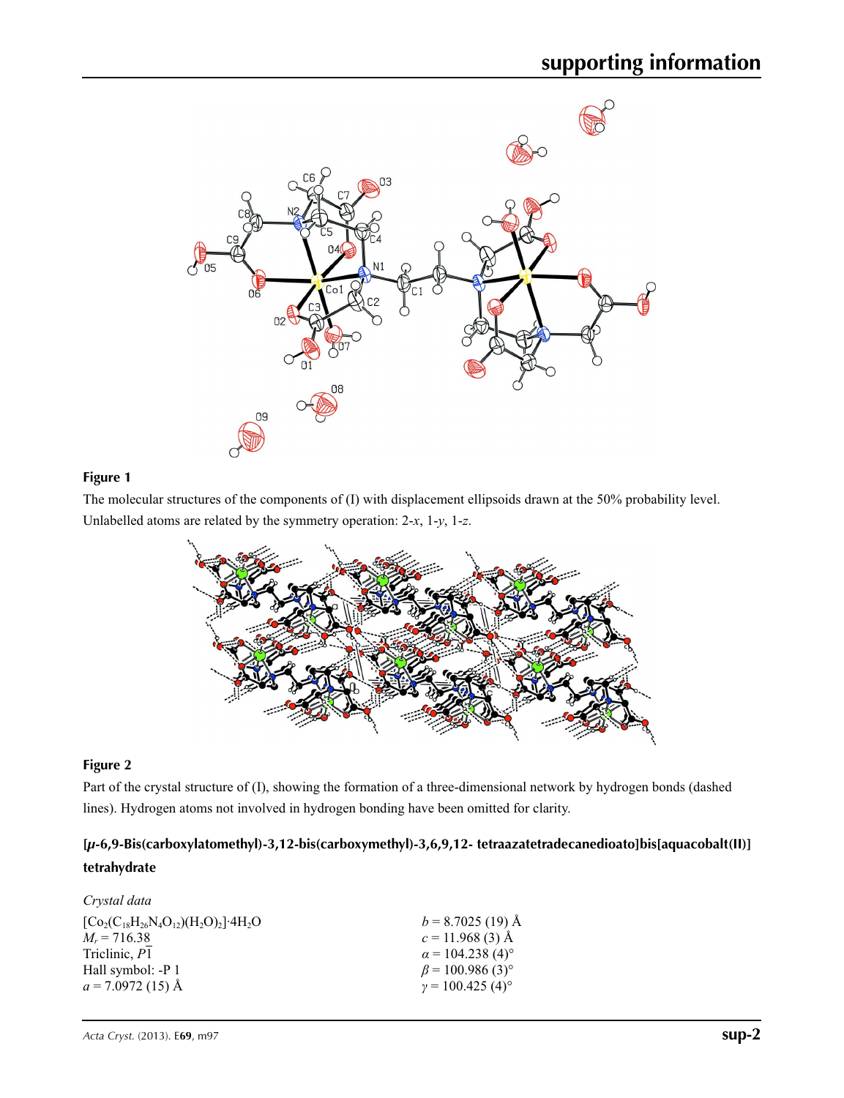

#### **Figure 1**

The molecular structures of the components of (I) with displacement ellipsoids drawn at the 50% probability level. Unlabelled atoms are related by the symmetry operation: 2-*x*, 1-*y*, 1-*z*.



#### **Figure 2**

Part of the crystal structure of (I), showing the formation of a three-dimensional network by hydrogen bonds (dashed lines). Hydrogen atoms not involved in hydrogen bonding have been omitted for clarity.

#### **[***µ***-6,9-Bis(carboxylatomethyl)-3,12-bis(carboxymethyl)-3,6,9,12- tetraazatetradecanedioato]bis[aquacobalt(II)] tetrahydrate**

#### *Crystal data*  $[Co_2(C_{18}H_{26}N_4O_{12})(H_2O)_2]$ <sup>-</sup>4H<sub>2</sub>O  $M_r = 716.38$ Triclinic, *P*1 Hall symbol: -P 1  $a = 7.0972(15)$  Å  $b = 8.7025$  (19) Å  $c = 11.968$  (3) Å  $\alpha$  = 104.238 (4)<sup>o</sup>  $\beta$  = 100.986 (3)<sup>°</sup>  $γ = 100.425(4)°$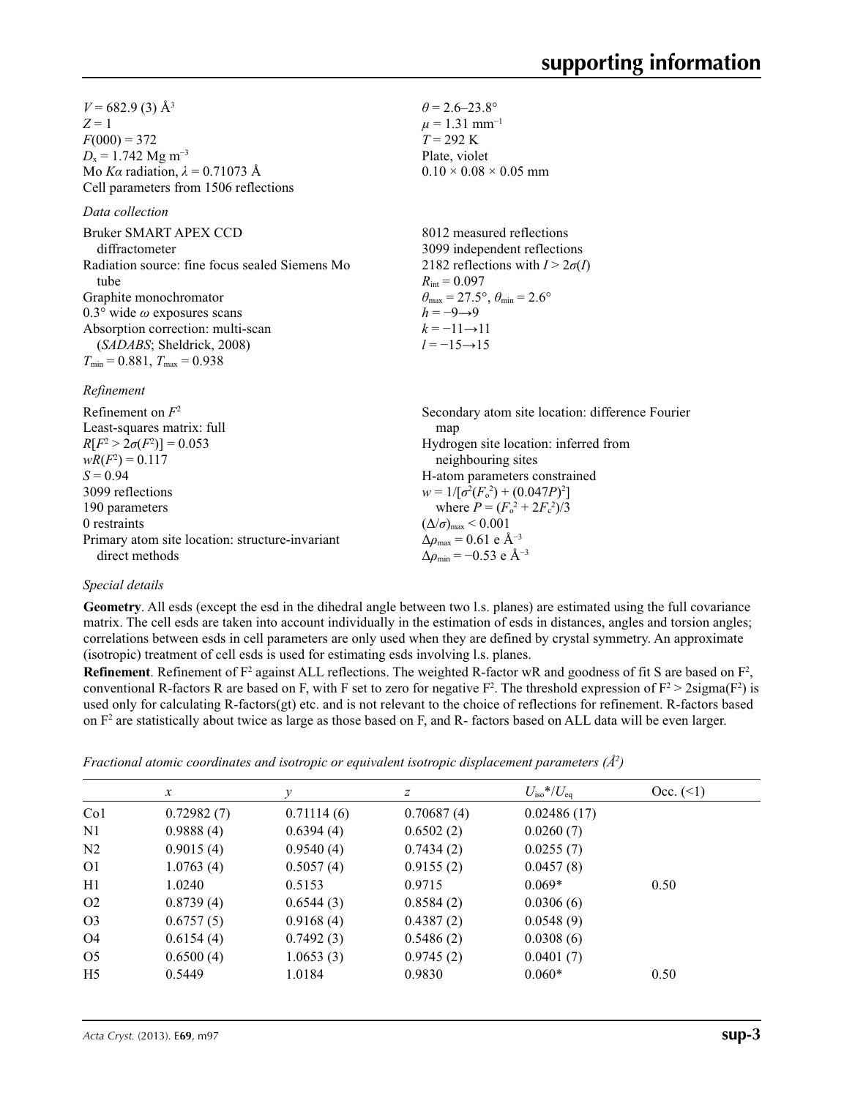$V = 682.9$  (3) Å<sup>3</sup>  $Z = 1$  $F(000) = 372$  $D_x = 1.742$  Mg m<sup>-3</sup> Mo *Kα* radiation, *λ* = 0.71073 Å Cell parameters from 1506 reflections

#### *Data collection*

Bruker SMART APEX CCD diffractometer Radiation source: fine focus sealed Siemens Mo tube Graphite monochromator 0.3° wide *ω* exposures scans Absorption correction: multi-scan (*SADABS*; Sheldrick, 2008)  $T_{\text{min}} = 0.881, T_{\text{max}} = 0.938$ 

#### *Refinement*

| Refinement on $F^2$                             | Secondary atom site location: difference Fourier   |
|-------------------------------------------------|----------------------------------------------------|
| Least-squares matrix: full                      | map                                                |
| $R[F^2 > 2\sigma(F^2)] = 0.053$                 | Hydrogen site location: inferred from              |
| $wR(F^2) = 0.117$                               | neighbouring sites                                 |
| $S = 0.94$                                      | H-atom parameters constrained                      |
| 3099 reflections                                | $w = 1/[\sigma^2(F_0^2) + (0.047P)^2]$             |
| 190 parameters                                  | where $P = (F_o^2 + 2F_c^2)/3$                     |
| 0 restraints                                    | $(\Delta/\sigma)_{\text{max}}$ < 0.001             |
| Primary atom site location: structure-invariant | $\Delta \rho_{\text{max}} = 0.61 \text{ e A}^{-3}$ |
| direct methods                                  | $\Delta\rho_{\rm min} = -0.53$ e Å <sup>-3</sup>   |
|                                                 |                                                    |

 $\theta$  = 2.6–23.8°  $\mu$  = 1.31 mm<sup>-1</sup>  $T = 292 \text{ K}$ Plate, violet

 $R_{\text{int}} = 0.097$ 

 $h = -9 \rightarrow 9$  $k = -11 \rightarrow 11$ *l* = −15→15

 $0.10 \times 0.08 \times 0.05$  mm

8012 measured reflections 3099 independent reflections 2182 reflections with  $I > 2\sigma(I)$ 

 $\theta_{\text{max}} = 27.5^{\circ}, \theta_{\text{min}} = 2.6^{\circ}$ 

#### *Special details*

**Geometry**. All esds (except the esd in the dihedral angle between two l.s. planes) are estimated using the full covariance matrix. The cell esds are taken into account individually in the estimation of esds in distances, angles and torsion angles; correlations between esds in cell parameters are only used when they are defined by crystal symmetry. An approximate (isotropic) treatment of cell esds is used for estimating esds involving l.s. planes.

**Refinement**. Refinement of  $F^2$  against ALL reflections. The weighted R-factor wR and goodness of fit S are based on  $F^2$ , conventional R-factors R are based on F, with F set to zero for negative  $F^2$ . The threshold expression of  $F^2 > 2 \text{sigma}(F^2)$  is used only for calculating R-factors(gt) etc. and is not relevant to the choice of reflections for refinement. R-factors based on  $F<sup>2</sup>$  are statistically about twice as large as those based on F, and R- factors based on ALL data will be even larger.

|                | $\mathcal{X}$ | v          | Ζ          | $U_{\rm iso}$ */ $U_{\rm eq}$ | Occ. (2) |  |
|----------------|---------------|------------|------------|-------------------------------|----------|--|
| Co1            | 0.72982(7)    | 0.71114(6) | 0.70687(4) | 0.02486(17)                   |          |  |
| N1             | 0.9888(4)     | 0.6394(4)  | 0.6502(2)  | 0.0260(7)                     |          |  |
| N2             | 0.9015(4)     | 0.9540(4)  | 0.7434(2)  | 0.0255(7)                     |          |  |
| O1             | 1.0763(4)     | 0.5057(4)  | 0.9155(2)  | 0.0457(8)                     |          |  |
| Η1             | 1.0240        | 0.5153     | 0.9715     | $0.069*$                      | 0.50     |  |
| O <sub>2</sub> | 0.8739(4)     | 0.6544(3)  | 0.8584(2)  | 0.0306(6)                     |          |  |
| O <sub>3</sub> | 0.6757(5)     | 0.9168(4)  | 0.4387(2)  | 0.0548(9)                     |          |  |
| O4             | 0.6154(4)     | 0.7492(3)  | 0.5486(2)  | 0.0308(6)                     |          |  |
| O5             | 0.6500(4)     | 1.0653(3)  | 0.9745(2)  | 0.0401(7)                     |          |  |
| H5             | 0.5449        | 1.0184     | 0.9830     | $0.060*$                      | 0.50     |  |
|                |               |            |            |                               |          |  |

*Fractional atomic coordinates and isotropic or equivalent isotropic displacement parameters (Å<sup>2</sup>)*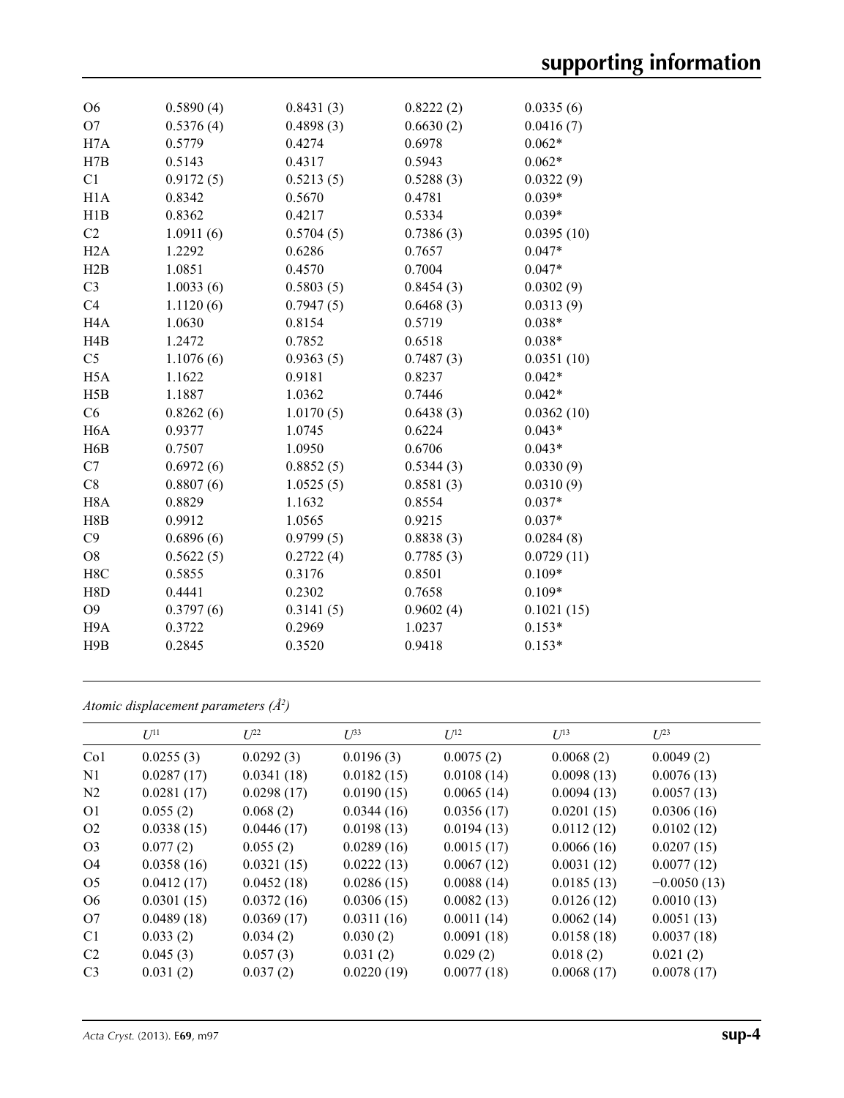| O <sub>6</sub>   | 0.5890(4) | 0.8431(3) | 0.8222(2) | 0.0335(6)  |
|------------------|-----------|-----------|-----------|------------|
| O <sub>7</sub>   | 0.5376(4) | 0.4898(3) | 0.6630(2) | 0.0416(7)  |
| H7A              | 0.5779    | 0.4274    | 0.6978    | $0.062*$   |
| H7B              | 0.5143    | 0.4317    | 0.5943    | $0.062*$   |
| C1               | 0.9172(5) | 0.5213(5) | 0.5288(3) | 0.0322(9)  |
| H1A              | 0.8342    | 0.5670    | 0.4781    | $0.039*$   |
| H1B              | 0.8362    | 0.4217    | 0.5334    | $0.039*$   |
| C <sub>2</sub>   | 1.0911(6) | 0.5704(5) | 0.7386(3) | 0.0395(10) |
| H2A              | 1.2292    | 0.6286    | 0.7657    | $0.047*$   |
| H2B              | 1.0851    | 0.4570    | 0.7004    | $0.047*$   |
| C <sub>3</sub>   | 1.0033(6) | 0.5803(5) | 0.8454(3) | 0.0302(9)  |
| C <sub>4</sub>   | 1.1120(6) | 0.7947(5) | 0.6468(3) | 0.0313(9)  |
| H <sub>4</sub> A | 1.0630    | 0.8154    | 0.5719    | $0.038*$   |
| H <sub>4</sub> B | 1.2472    | 0.7852    | 0.6518    | $0.038*$   |
| C <sub>5</sub>   | 1.1076(6) | 0.9363(5) | 0.7487(3) | 0.0351(10) |
| H <sub>5</sub> A | 1.1622    | 0.9181    | 0.8237    | $0.042*$   |
| H5B              | 1.1887    | 1.0362    | 0.7446    | $0.042*$   |
| C6               | 0.8262(6) | 1.0170(5) | 0.6438(3) | 0.0362(10) |
| H <sub>6</sub> A | 0.9377    | 1.0745    | 0.6224    | $0.043*$   |
| H6B              | 0.7507    | 1.0950    | 0.6706    | $0.043*$   |
| C7               | 0.6972(6) | 0.8852(5) | 0.5344(3) | 0.0330(9)  |
| C8               | 0.8807(6) | 1.0525(5) | 0.8581(3) | 0.0310(9)  |
| H <sub>8</sub> A | 0.8829    | 1.1632    | 0.8554    | $0.037*$   |
| H8B              | 0.9912    | 1.0565    | 0.9215    | $0.037*$   |
| C9               | 0.6896(6) | 0.9799(5) | 0.8838(3) | 0.0284(8)  |
| O <sub>8</sub>   | 0.5622(5) | 0.2722(4) | 0.7785(3) | 0.0729(11) |
| H8C              | 0.5855    | 0.3176    | 0.8501    | $0.109*$   |
| H8D              | 0.4441    | 0.2302    | 0.7658    | $0.109*$   |
| O <sub>9</sub>   | 0.3797(6) | 0.3141(5) | 0.9602(4) | 0.1021(15) |
| H <sub>9</sub> A | 0.3722    | 0.2969    | 1.0237    | $0.153*$   |
| H9B              | 0.2845    | 0.3520    | 0.9418    | $0.153*$   |
|                  |           |           |           |            |

*Atomic displacement parameters (Å2 )*

|                 | $U^{11}$   | $U^{22}$   | $U^{33}$   | $U^{12}$   | $U^{13}$   | $U^{23}$      |
|-----------------|------------|------------|------------|------------|------------|---------------|
| Co <sub>1</sub> | 0.0255(3)  | 0.0292(3)  | 0.0196(3)  | 0.0075(2)  | 0.0068(2)  | 0.0049(2)     |
| N <sub>1</sub>  | 0.0287(17) | 0.0341(18) | 0.0182(15) | 0.0108(14) | 0.0098(13) | 0.0076(13)    |
| N <sub>2</sub>  | 0.0281(17) | 0.0298(17) | 0.0190(15) | 0.0065(14) | 0.0094(13) | 0.0057(13)    |
| O <sub>1</sub>  | 0.055(2)   | 0.068(2)   | 0.0344(16) | 0.0356(17) | 0.0201(15) | 0.0306(16)    |
| O <sub>2</sub>  | 0.0338(15) | 0.0446(17) | 0.0198(13) | 0.0194(13) | 0.0112(12) | 0.0102(12)    |
| O <sub>3</sub>  | 0.077(2)   | 0.055(2)   | 0.0289(16) | 0.0015(17) | 0.0066(16) | 0.0207(15)    |
| O <sub>4</sub>  | 0.0358(16) | 0.0321(15) | 0.0222(13) | 0.0067(12) | 0.0031(12) | 0.0077(12)    |
| O <sub>5</sub>  | 0.0412(17) | 0.0452(18) | 0.0286(15) | 0.0088(14) | 0.0185(13) | $-0.0050(13)$ |
| O <sub>6</sub>  | 0.0301(15) | 0.0372(16) | 0.0306(15) | 0.0082(13) | 0.0126(12) | 0.0010(13)    |
| O7              | 0.0489(18) | 0.0369(17) | 0.0311(16) | 0.0011(14) | 0.0062(14) | 0.0051(13)    |
| C <sub>1</sub>  | 0.033(2)   | 0.034(2)   | 0.030(2)   | 0.0091(18) | 0.0158(18) | 0.0037(18)    |
| C <sub>2</sub>  | 0.045(3)   | 0.057(3)   | 0.031(2)   | 0.029(2)   | 0.018(2)   | 0.021(2)      |
| C <sub>3</sub>  | 0.031(2)   | 0.037(2)   | 0.0220(19) | 0.0077(18) | 0.0068(17) | 0.0078(17)    |
|                 |            |            |            |            |            |               |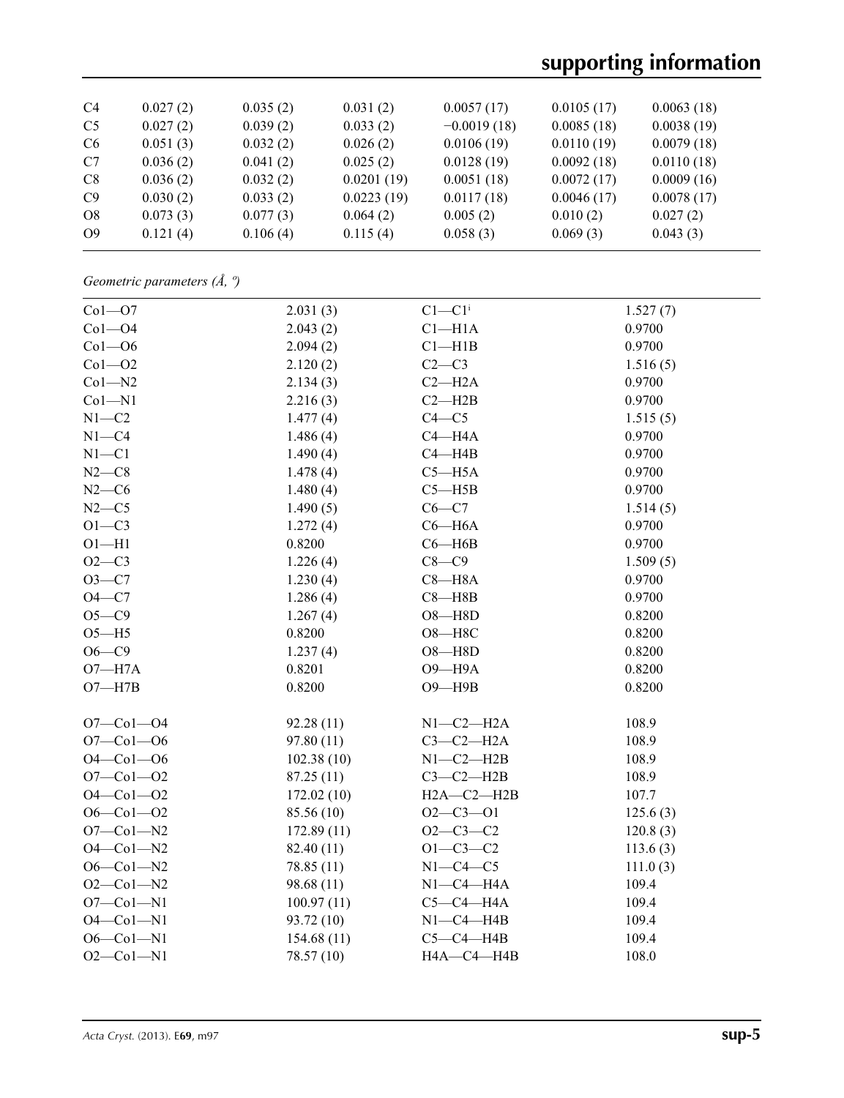# **supporting information**

| C <sub>4</sub> | 0.027(2) | 0.035(2) | 0.031(2)   | 0.0057(17)    | 0.0105(17) | 0.0063(18) |
|----------------|----------|----------|------------|---------------|------------|------------|
| C <sub>5</sub> | 0.027(2) | 0.039(2) | 0.033(2)   | $-0.0019(18)$ | 0.0085(18) | 0.0038(19) |
| C <sub>6</sub> | 0.051(3) | 0.032(2) | 0.026(2)   | 0.0106(19)    | 0.0110(19) | 0.0079(18) |
| C7             | 0.036(2) | 0.041(2) | 0.025(2)   | 0.0128(19)    | 0.0092(18) | 0.0110(18) |
| C8             | 0.036(2) | 0.032(2) | 0.0201(19) | 0.0051(18)    | 0.0072(17) | 0.0009(16) |
| C9             | 0.030(2) | 0.033(2) | 0.0223(19) | 0.0117(18)    | 0.0046(17) | 0.0078(17) |
| O8             | 0.073(3) | 0.077(3) | 0.064(2)   | 0.005(2)      | 0.010(2)   | 0.027(2)   |
| O <sub>9</sub> | 0.121(4) | 0.106(4) | 0.115(4)   | 0.058(3)      | 0.069(3)   | 0.043(3)   |
|                |          |          |            |               |            |            |

*Geometric parameters (Å, º)*

| $Co1 - O7$      | 2.031(3)   | $C1 - C1$ <sup>i</sup>         | 1.527(7) |  |
|-----------------|------------|--------------------------------|----------|--|
| $Co1 - O4$      | 2.043(2)   | $Cl-H1A$                       | 0.9700   |  |
| $Co1 - O6$      | 2.094(2)   | $C1 - H1B$                     | 0.9700   |  |
| $Co1 - O2$      | 2.120(2)   | $C2-C3$                        | 1.516(5) |  |
| $Co1 - N2$      | 2.134(3)   | $C2 - H2A$                     | 0.9700   |  |
| $Co1 - N1$      | 2.216(3)   | $C2 - H2B$                     | 0.9700   |  |
| $N1 - C2$       | 1.477(4)   | $C4 - C5$                      | 1.515(5) |  |
| $N1 - C4$       | 1.486(4)   | $C4 - H4A$                     | 0.9700   |  |
| $N1 - C1$       | 1.490(4)   | $C4 - H4B$                     | 0.9700   |  |
| $N2-C8$         | 1.478(4)   | $C5 - H5A$                     | 0.9700   |  |
| $N2-C6$         | 1.480(4)   | $C5 - H5B$                     | 0.9700   |  |
| $N2-C5$         | 1.490(5)   | $C6-C7$                        | 1.514(5) |  |
| $O1 - C3$       | 1.272(4)   | $C6 - H6A$                     | 0.9700   |  |
| $O1 - H1$       | 0.8200     | $C6 - H6B$                     | 0.9700   |  |
| $O2-C3$         | 1.226(4)   | $C8-C9$                        | 1.509(5) |  |
| $O3 - C7$       | 1.230(4)   | $C8 - H8A$                     | 0.9700   |  |
| $O4 - C7$       | 1.286(4)   | $C8 - H8B$                     | 0.9700   |  |
| $O5-C9$         | 1.267(4)   | $O8 - H8D$                     | 0.8200   |  |
| $O5 - H5$       | 0.8200     | $\,$ O8 $\rightarrow$ H8C $\,$ | 0.8200   |  |
| $O6 - C9$       | 1.237(4)   | $O8 - H8D$                     | 0.8200   |  |
| $O7 - H7A$      | 0.8201     | O9-H9A                         | 0.8200   |  |
| $O7 - H7B$      | 0.8200     | $O9 - H9B$                     | 0.8200   |  |
|                 |            |                                |          |  |
| $O7 - Co1 - O4$ | 92.28(11)  | $N1-C2-H2A$                    | 108.9    |  |
| $O7 - Co1 - O6$ | 97.80 (11) | $C3-C2-H2A$                    | 108.9    |  |
| $O4 - Co1 - O6$ | 102.38(10) | $N1-C2-H2B$                    | 108.9    |  |
| $O7 - Co1 - O2$ | 87.25(11)  | $C3-C2-H2B$                    | 108.9    |  |
| $O4 - Co1 - O2$ | 172.02(10) | $H2A - C2 - H2B$               | 107.7    |  |
| $O6 - Co1 - O2$ | 85.56 (10) | $O2 - C3 - O1$                 | 125.6(3) |  |
| $O7 - Co1 - N2$ | 172.89(11) | $O2-C3-C2$                     | 120.8(3) |  |
| $O4 - Co1 - N2$ | 82.40 (11) | $O1 - C3 - C2$                 | 113.6(3) |  |
| $O6 - Co1 - N2$ | 78.85 (11) | $N1-C4-C5$                     | 111.0(3) |  |
| $O2-Co1-N2$     | 98.68 (11) | $N1-C4-H4A$                    | 109.4    |  |
| $O7 - Co1 - N1$ | 100.97(11) | $C5-C4-H4A$                    | 109.4    |  |
| $O4 - Co1 - N1$ | 93.72 (10) | $N1-C4-H4B$                    | 109.4    |  |
| $O6 - Co1 - N1$ | 154.68(11) | $C5-C4-HAB$                    | 109.4    |  |
| $O2 - Co1 - N1$ | 78.57 (10) | $HA$ -C4-H4B                   | 108.0    |  |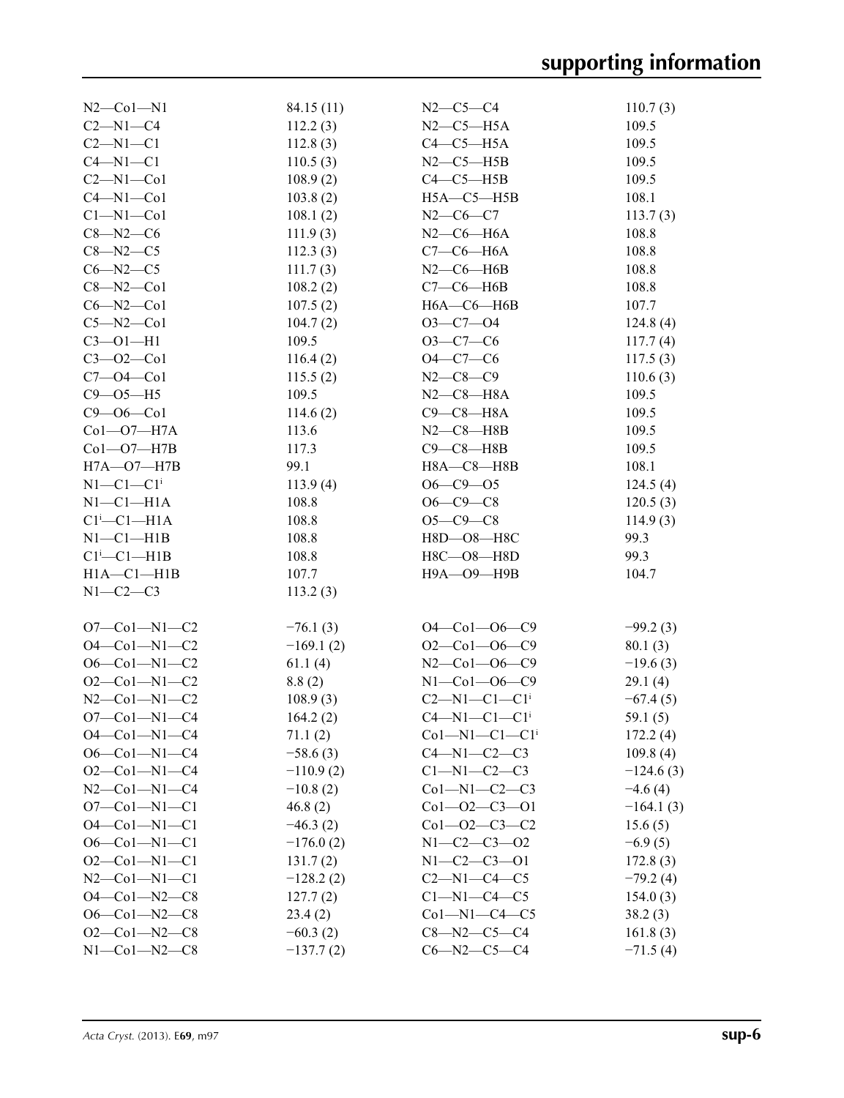| $N2$ –Col–N1               | 84.15(11)   | $N2-C5-C4$                        | 110.7(3)    |
|----------------------------|-------------|-----------------------------------|-------------|
| $C2 - N1 - C4$             | 112.2(3)    | $N2-C5-H5A$                       | 109.5       |
| $C2-M1-C1$                 | 112.8(3)    | $C4-C5-H5A$                       | 109.5       |
| $C4 - N1 - C1$             | 110.5(3)    | $N2$ – $C5$ – $H5B$               | 109.5       |
| $C2-M1-C01$                | 108.9(2)    | $C4-C5-H5B$                       | 109.5       |
| $C4 - N1 - Co1$            | 103.8(2)    | $H5A - C5 - H5B$                  | 108.1       |
| $Cl-M1-C01$                | 108.1(2)    | $N2-C6-C7$                        | 113.7(3)    |
| $C8 - N2 - C6$             | 111.9(3)    | $N2$ — $C6$ — $H6A$               | 108.8       |
| $C8 - N2 - C5$             | 112.3(3)    | $C7-C6-H6A$                       | 108.8       |
| $C6 - N2 - C5$             | 111.7(3)    | $N2$ — $C6$ — $H6B$               | 108.8       |
| $C8 - N2 - C01$            | 108.2(2)    | $C7-C6$ -H6B                      | 108.8       |
| $C6 - N2 - C01$            | 107.5(2)    | $H6A - C6 - H6B$                  | 107.7       |
| $C5 - N2 - C01$            | 104.7(2)    | $O3-C7-O4$                        | 124.8(4)    |
| $C3 - 01 - H1$             | 109.5       | $O3-C7-C6$                        | 117.7(4)    |
| $C3 - 02 - C01$            | 116.4(2)    | $O4 - C7 - C6$                    | 117.5(3)    |
| $C7 - 04 - C01$            | 115.5(2)    | $N2 - C8 - C9$                    | 110.6(3)    |
|                            |             |                                   |             |
| $C9 - 05 - H5$             | 109.5       | $N2$ — $C8$ — $H8A$               | 109.5       |
| $C9 - 06 - C01$            | 114.6(2)    | $C9-C8-H8A$                       | 109.5       |
| $Co1-O7-H7A$               | 113.6       | $N2-C8-H8B$                       | 109.5       |
| $Co1-O7-H7B$               | 117.3       | $C9 - C8 - H8B$                   | 109.5       |
| $H7A - O7 - H7B$           | 99.1        | $H8A - C8 - H8B$                  | 108.1       |
| $N1-C1-C1$ <sup>i</sup>    | 113.9(4)    | $O6 - C9 - O5$                    | 124.5(4)    |
| $N1-C1-H1A$                | 108.8       | $O6 - C9 - C8$                    | 120.5(3)    |
| $Cl^i$ -Cl-H1A             | 108.8       | $O5 - C9 - C8$                    | 114.9(3)    |
| $N1-C1-H1B$                | 108.8       | H8D-08-H8C                        | 99.3        |
| $Cl^i$ -Cl-H1B             | 108.8       | $H8C - O8 - H8D$                  | 99.3        |
| $H1A - C1 - H1B$           | 107.7       | Н9А-О9-Н9В                        | 104.7       |
| $N1-C2-C3$                 | 113.2(3)    |                                   |             |
|                            |             |                                   |             |
| $O7-Co1-N1-C2$             | $-76.1(3)$  | $O4 - Co1 - O6 - C9$              | $-99.2(3)$  |
| $O4 - Co1 - N1 - C2$       | $-169.1(2)$ | $O2$ — $Co1$ — $O6$ — $C9$        | 80.1(3)     |
| $O6 - Co1 - N1 - C2$       | 61.1(4)     | $N2$ –Col–O6–C9                   | $-19.6(3)$  |
| $O2$ -Co1-N1-C2            | 8.8(2)      | $N1 - Co1 - 06 - C9$              | 29.1(4)     |
| $N2$ - $Co1$ - $N1$ - $C2$ | 108.9(3)    | $C2 - N1 - C1 - C1$ <sup>i</sup>  | $-67.4(5)$  |
| $O7 - Co1 - N1 - C4$       | 164.2(2)    | $C4 - N1 - C1 - C1$ <sup>i</sup>  | 59.1(5)     |
| $O4 - Co1 - N1 - C4$       | 71.1(2)     | $Co1 - N1 - C1 - C1$ <sup>i</sup> | 172.2(4)    |
| $O6 - Co1 - N1 - C4$       | $-58.6(3)$  | $C4 - N1 - C2 - C3$               | 109.8(4)    |
| $O2$ — $Co1$ — $N1$ — $C4$ | $-110.9(2)$ | $C1-M1-C2-C3$                     | $-124.6(3)$ |
| $N2$ — $Co1$ — $N1$ — $C4$ | $-10.8(2)$  | $Co1-M1-C2-C3$                    | $-4.6(4)$   |
| $O7 - Co1 - N1 - C1$       | 46.8(2)     | $Co1 - O2 - C3 - O1$              | $-164.1(3)$ |
| $O4 - Co1 - N1 - C1$       | $-46.3(2)$  | $Co1 - O2 - C3 - C2$              | 15.6(5)     |
| $O6 - Co1 - N1 - C1$       | $-176.0(2)$ | $N1 - C2 - C3 - 02$               | $-6.9(5)$   |
| $O2$ —Co1—N1—C1            | 131.7(2)    | $N1 - C2 - C3 - 01$               | 172.8(3)    |
| $N2$ - $Co1$ - $N1$ - $Cl$ | $-128.2(2)$ | $C2-M1-C4-C5$                     | $-79.2(4)$  |
| $O4 - Co1 - N2 - C8$       | 127.7(2)    | $C1-M1-C4-C5$                     | 154.0(3)    |
| $O6 - Co1 - N2 - C8$       | 23.4(2)     | $Co1 - N1 - C4 - C5$              | 38.2(3)     |
| $O2$ — $Co1$ — $N2$ — $C8$ | $-60.3(2)$  | $C8 - N2 - C5 - C4$               | 161.8(3)    |
| $N1-Co1-N2-C8$             | $-137.7(2)$ | $C6 - N2 - C5 - C4$               | $-71.5(4)$  |
|                            |             |                                   |             |